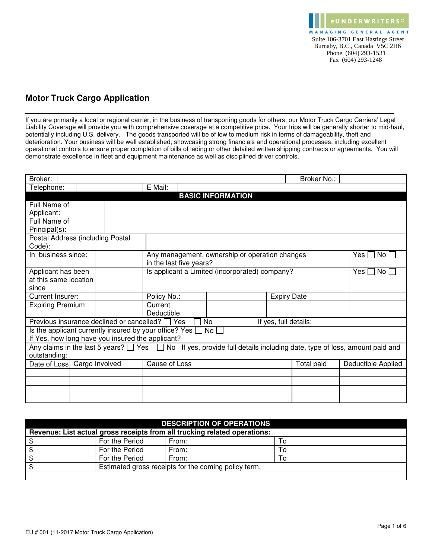

## **Motor Truck Cargo Application**

If you are primarily a local or regional carrier, in the business of transporting goods for others, our Motor Truck Cargo Carriers' Legal Liability Coverage will provide you with comprehensive coverage at a competitive price. Your trips will be generally shorter to mid-haul, potentially including U.S. delivery. The goods transported will be of low to medium risk in terms of damageability, theft and deterioration. Your business will be well established, showcasing strong financials and operational processes, including excellent operational controls to ensure proper completion of bills of lading or other detailed written shipping contracts or agreements. You will demonstrate excellence in fleet and equipment maintenance as well as disciplined driver controls.

| Broker:                                          |  |               |                                                                    |            |                                                |                       | Broker No.: |  |                                                                                                                                 |
|--------------------------------------------------|--|---------------|--------------------------------------------------------------------|------------|------------------------------------------------|-----------------------|-------------|--|---------------------------------------------------------------------------------------------------------------------------------|
| Telephone:                                       |  |               | E Mail:                                                            |            |                                                |                       |             |  |                                                                                                                                 |
|                                                  |  |               |                                                                    |            | <b>BASIC INFORMATION</b>                       |                       |             |  |                                                                                                                                 |
| Full Name of                                     |  |               |                                                                    |            |                                                |                       |             |  |                                                                                                                                 |
| Applicant:                                       |  |               |                                                                    |            |                                                |                       |             |  |                                                                                                                                 |
| Full Name of                                     |  |               |                                                                    |            |                                                |                       |             |  |                                                                                                                                 |
| Principal(s):                                    |  |               |                                                                    |            |                                                |                       |             |  |                                                                                                                                 |
| Postal Address (including Postal                 |  |               |                                                                    |            |                                                |                       |             |  |                                                                                                                                 |
| Code):                                           |  |               |                                                                    |            |                                                |                       |             |  |                                                                                                                                 |
| In business since:                               |  |               |                                                                    |            | Any management, ownership or operation changes |                       |             |  | Yes I ∣<br>No L                                                                                                                 |
|                                                  |  |               | in the last five years?                                            |            |                                                |                       |             |  |                                                                                                                                 |
| Applicant has been                               |  |               | Is applicant a Limited (incorporated) company?                     |            |                                                | Yes $\Box$<br>No L    |             |  |                                                                                                                                 |
| at this same location                            |  |               |                                                                    |            |                                                |                       |             |  |                                                                                                                                 |
| since                                            |  |               |                                                                    |            |                                                |                       |             |  |                                                                                                                                 |
| Current Insurer:                                 |  |               | Policy No.:                                                        |            | <b>Expiry Date</b>                             |                       |             |  |                                                                                                                                 |
| <b>Expiring Premium</b>                          |  |               | Current                                                            |            |                                                |                       |             |  |                                                                                                                                 |
|                                                  |  |               | Deductible                                                         |            |                                                |                       |             |  |                                                                                                                                 |
| Previous insurance declined or cancelled? □ Yes  |  |               |                                                                    | No         |                                                | If yes, full details: |             |  |                                                                                                                                 |
|                                                  |  |               | Is the applicant currently insured by your office? Yes $\Box$ No [ |            |                                                |                       |             |  |                                                                                                                                 |
| If Yes, how long have you insured the applicant? |  |               |                                                                    |            |                                                |                       |             |  |                                                                                                                                 |
|                                                  |  |               |                                                                    |            |                                                |                       |             |  | Any claims in the last 5 years? $\Box$ Yes $\Box$ No If yes, provide full details including date, type of loss, amount paid and |
| outstanding:                                     |  |               |                                                                    |            |                                                |                       |             |  |                                                                                                                                 |
| Date of Loss Cargo Involved                      |  | Cause of Loss |                                                                    | Total paid |                                                | Deductible Applied    |             |  |                                                                                                                                 |
|                                                  |  |               |                                                                    |            |                                                |                       |             |  |                                                                                                                                 |
|                                                  |  |               |                                                                    |            |                                                |                       |             |  |                                                                                                                                 |
|                                                  |  |               |                                                                    |            |                                                |                       |             |  |                                                                                                                                 |
|                                                  |  |               |                                                                    |            |                                                |                       |             |  |                                                                                                                                 |

| <b>DESCRIPTION OF OPERATIONS</b>                                          |                |       |    |  |  |  |
|---------------------------------------------------------------------------|----------------|-------|----|--|--|--|
| Revenue: List actual gross receipts from all trucking related operations: |                |       |    |  |  |  |
|                                                                           | For the Period | From: | To |  |  |  |
|                                                                           | For the Period | From: | Т٥ |  |  |  |
|                                                                           | For the Period | From: | Τo |  |  |  |
| Estimated gross receipts for the coming policy term.                      |                |       |    |  |  |  |
|                                                                           |                |       |    |  |  |  |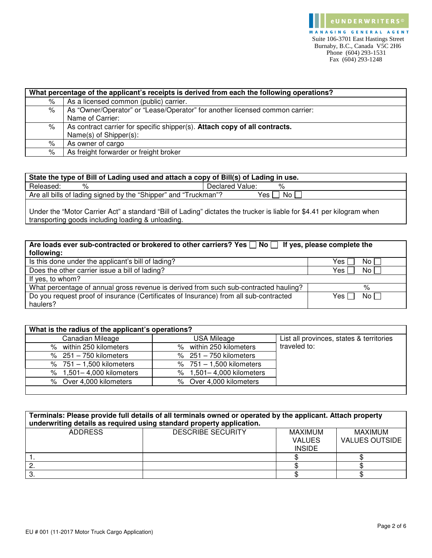|   | What percentage of the applicant's receipts is derived from each the following operations? |  |  |  |  |
|---|--------------------------------------------------------------------------------------------|--|--|--|--|
| ℅ | As a licensed common (public) carrier.                                                     |  |  |  |  |
| % | As "Owner/Operator" or "Lease/Operator" for another licensed common carrier:               |  |  |  |  |
|   | Name of Carrier:                                                                           |  |  |  |  |
| ℅ | As contract carrier for specific shipper(s). Attach copy of all contracts.                 |  |  |  |  |
|   | Name(s) of Shipper(s):                                                                     |  |  |  |  |
| % | As owner of cargo                                                                          |  |  |  |  |
| % | As freight forwarder or freight broker                                                     |  |  |  |  |

| State the type of Bill of Lading used and attach a copy of Bill(s) of Lading in use. |                 |  |  |  |  |  |
|--------------------------------------------------------------------------------------|-----------------|--|--|--|--|--|
| Released:                                                                            | Declared Value: |  |  |  |  |  |
| Are all bills of lading signed by the "Shipper" and "Truckman"?<br>Yes,<br>No I      |                 |  |  |  |  |  |
|                                                                                      |                 |  |  |  |  |  |

Under the "Motor Carrier Act" a standard "Bill of Lading" dictates the trucker is liable for \$4.41 per kilogram when transporting goods including loading & unloading.

| Are loads ever sub-contracted or brokered to other carriers? Yes $\Box$ No $\Box$ If yes, please complete the |                |  |  |  |  |
|---------------------------------------------------------------------------------------------------------------|----------------|--|--|--|--|
| following:                                                                                                    |                |  |  |  |  |
| Is this done under the applicant's bill of lading?                                                            | No L<br>Yes l  |  |  |  |  |
| Does the other carrier issue a bill of lading?                                                                | No l<br>Yes l  |  |  |  |  |
| If yes, to whom?                                                                                              |                |  |  |  |  |
| What percentage of annual gross revenue is derived from such sub-contracted hauling?                          | %              |  |  |  |  |
| Do you request proof of insurance (Certificates of Insurance) from all sub-contracted                         | No II<br>Yes I |  |  |  |  |
| haulers?                                                                                                      |                |  |  |  |  |

| What is the radius of the applicant's operations? |                            |                                          |  |  |  |  |  |  |
|---------------------------------------------------|----------------------------|------------------------------------------|--|--|--|--|--|--|
| Canadian Mileage                                  | USA Mileage                | List all provinces, states & territories |  |  |  |  |  |  |
| % within 250 kilometers                           | % within 250 kilometers    | traveled to:                             |  |  |  |  |  |  |
| $% 251 - 750$ kilometers                          | $% 251 - 750$ kilometers   |                                          |  |  |  |  |  |  |
| % $751 - 1,500$ kilometers                        | % $751 - 1,500$ kilometers |                                          |  |  |  |  |  |  |
| % 1,501-4,000 kilometers                          | % 1,501-4,000 kilometers   |                                          |  |  |  |  |  |  |
| % Over 4,000 kilometers                           | % Over 4,000 kilometers    |                                          |  |  |  |  |  |  |
|                                                   |                            |                                          |  |  |  |  |  |  |

| Terminals: Please provide full details of all terminals owned or operated by the applicant. Attach property<br>underwriting details as required using standard property application. |                          |                                           |                                         |  |  |
|--------------------------------------------------------------------------------------------------------------------------------------------------------------------------------------|--------------------------|-------------------------------------------|-----------------------------------------|--|--|
| <b>ADDRESS</b>                                                                                                                                                                       | <b>DESCRIBE SECURITY</b> | MAXIMUM<br><b>VALUES</b><br><b>INSIDE</b> | <b>MAXIMUM</b><br><b>VALUES OUTSIDE</b> |  |  |
|                                                                                                                                                                                      |                          |                                           |                                         |  |  |
|                                                                                                                                                                                      |                          |                                           |                                         |  |  |
| Ő.                                                                                                                                                                                   |                          |                                           |                                         |  |  |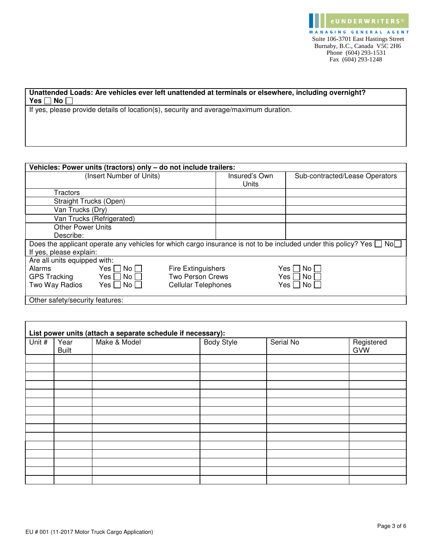## **Unattended Loads: Are vehicles ever left unattended at terminals or elsewhere, including overnight? Yes** □ No □

If yes, please provide details of location(s), security and average/maximum duration.

|                                 | Vehicles: Power units (tractors) only - do not include trailers: |                            |               |                                                                                                                                 |  |  |
|---------------------------------|------------------------------------------------------------------|----------------------------|---------------|---------------------------------------------------------------------------------------------------------------------------------|--|--|
| (Insert Number of Units)        |                                                                  |                            | Insured's Own | Sub-contracted/Lease Operators                                                                                                  |  |  |
|                                 |                                                                  |                            | Units         |                                                                                                                                 |  |  |
| Tractors                        |                                                                  |                            |               |                                                                                                                                 |  |  |
| Straight Trucks (Open)          |                                                                  |                            |               |                                                                                                                                 |  |  |
| Van Trucks (Dry)                |                                                                  |                            |               |                                                                                                                                 |  |  |
|                                 | Van Trucks (Refrigerated)                                        |                            |               |                                                                                                                                 |  |  |
| <b>Other Power Units</b>        |                                                                  |                            |               |                                                                                                                                 |  |  |
| Describe:                       |                                                                  |                            |               |                                                                                                                                 |  |  |
|                                 |                                                                  |                            |               | Does the applicant operate any vehicles for which cargo insurance is not to be included under this policy? Yes $\Box$ No $\Box$ |  |  |
| If yes, please explain:         |                                                                  |                            |               |                                                                                                                                 |  |  |
| Are all units equipped with:    |                                                                  |                            |               |                                                                                                                                 |  |  |
| Alarms                          | Yes     No                                                       | <b>Fire Extinguishers</b>  |               | No L<br>Yes II                                                                                                                  |  |  |
| <b>GPS Tracking</b>             | Yes    No                                                        | <b>Two Person Crews</b>    |               | No<br>Yes II                                                                                                                    |  |  |
| Two Way Radios                  | Yes $\Box$ No $\Box$                                             | <b>Cellular Telephones</b> |               | No l<br>Yes II                                                                                                                  |  |  |
| Other safety/security features: |                                                                  |                            |               |                                                                                                                                 |  |  |

| Unit # | Year         | List power units (attach a separate schedule if necessary):<br>Make & Model | <b>Body Style</b> | Serial No | Registered |
|--------|--------------|-----------------------------------------------------------------------------|-------------------|-----------|------------|
|        | <b>Built</b> |                                                                             |                   |           | <b>GVW</b> |
|        |              |                                                                             |                   |           |            |
|        |              |                                                                             |                   |           |            |
|        |              |                                                                             |                   |           |            |
|        |              |                                                                             |                   |           |            |
|        |              |                                                                             |                   |           |            |
|        |              |                                                                             |                   |           |            |
|        |              |                                                                             |                   |           |            |
|        |              |                                                                             |                   |           |            |
|        |              |                                                                             |                   |           |            |
|        |              |                                                                             |                   |           |            |
|        |              |                                                                             |                   |           |            |
|        |              |                                                                             |                   |           |            |
|        |              |                                                                             |                   |           |            |
|        |              |                                                                             |                   |           |            |
|        |              |                                                                             |                   |           |            |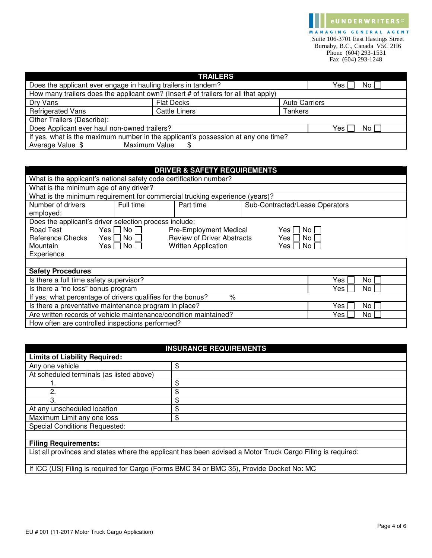MANAGING GENERAL AGENT Suite 106-3701 East Hastings Street Burnaby, B.C., Canada V5C 2H6 Phone (604) 293-1531 Fax (604) 293-1248

e U N D E R W R I T E R S ©

|                                                                                   | <b>TRAILERS</b>                                                                     |                      |  |  |  |  |  |
|-----------------------------------------------------------------------------------|-------------------------------------------------------------------------------------|----------------------|--|--|--|--|--|
|                                                                                   | Does the applicant ever engage in hauling trailers in tandem?<br>Yes l<br>No l      |                      |  |  |  |  |  |
|                                                                                   | How many trailers does the applicant own? (Insert # of trailers for all that apply) |                      |  |  |  |  |  |
| Dry Vans                                                                          | <b>Flat Decks</b>                                                                   | <b>Auto Carriers</b> |  |  |  |  |  |
| <b>Refrigerated Vans</b>                                                          | <b>Cattle Liners</b>                                                                | Tankers              |  |  |  |  |  |
| Other Trailers (Describe):                                                        |                                                                                     |                      |  |  |  |  |  |
| Does Applicant ever haul non-owned trailers?<br>Yes l<br>No l                     |                                                                                     |                      |  |  |  |  |  |
| If yes, what is the maximum number in the applicant's possession at any one time? |                                                                                     |                      |  |  |  |  |  |
| Average Value \$                                                                  | Maximum Value<br>SS.                                                                |                      |  |  |  |  |  |

| <b>DRIVER &amp; SAFETY REQUIREMENTS</b>                                        |                      |                                                                             |  |                                |  |  |
|--------------------------------------------------------------------------------|----------------------|-----------------------------------------------------------------------------|--|--------------------------------|--|--|
| What is the applicant's national safety code certification number?             |                      |                                                                             |  |                                |  |  |
| What is the minimum age of any driver?                                         |                      |                                                                             |  |                                |  |  |
|                                                                                |                      | What is the minimum requirement for commercial trucking experience (years)? |  |                                |  |  |
| Number of drivers                                                              | Full time            | Part time                                                                   |  | Sub-Contracted/Lease Operators |  |  |
| employed:                                                                      |                      |                                                                             |  |                                |  |  |
| Does the applicant's driver selection process include:                         |                      |                                                                             |  |                                |  |  |
| Road Test                                                                      | Yes $\Box$ No $\Box$ | Pre-Employment Medical                                                      |  | No l<br>Yes II                 |  |  |
| Reference Checks                                                               | Yes    No            | <b>Review of Driver Abstracts</b>                                           |  | No.<br>Yes II                  |  |  |
| Mountain                                                                       | Yes $\Box$ No $\Box$ | <b>Written Application</b>                                                  |  | Yes    No                      |  |  |
| Experience                                                                     |                      |                                                                             |  |                                |  |  |
|                                                                                |                      |                                                                             |  |                                |  |  |
| <b>Safety Procedures</b>                                                       |                      |                                                                             |  |                                |  |  |
| Is there a full time safety supervisor?<br>Yes<br>No.                          |                      |                                                                             |  |                                |  |  |
| Is there a "no loss" bonus program<br>Yes<br>No.                               |                      |                                                                             |  |                                |  |  |
| If yes, what percentage of drivers qualifies for the bonus?<br>$\%$            |                      |                                                                             |  |                                |  |  |
| Is there a preventative maintenance program in place?<br>Yes<br>No.            |                      |                                                                             |  |                                |  |  |
| Are written records of vehicle maintenance/condition maintained?<br>Yes<br>No. |                      |                                                                             |  |                                |  |  |
| How often are controlled inspections performed?                                |                      |                                                                             |  |                                |  |  |

|  | <b>INSURANCE REQUIREMENTS</b> |
|--|-------------------------------|
|  |                               |

| <b>Limits of Liability Required:</b>                                                                       |    |  |  |  |
|------------------------------------------------------------------------------------------------------------|----|--|--|--|
| Any one vehicle                                                                                            | \$ |  |  |  |
| At scheduled terminals (as listed above)                                                                   |    |  |  |  |
|                                                                                                            | \$ |  |  |  |
| 2                                                                                                          | \$ |  |  |  |
| 3                                                                                                          | \$ |  |  |  |
| At any unscheduled location                                                                                | \$ |  |  |  |
| Maximum Limit any one loss                                                                                 | \$ |  |  |  |
| <b>Special Conditions Requested:</b>                                                                       |    |  |  |  |
|                                                                                                            |    |  |  |  |
| <b>Filing Requirements:</b>                                                                                |    |  |  |  |
| List all provinces and states where the applicant has been advised a Motor Truck Cargo Filing is required: |    |  |  |  |
|                                                                                                            |    |  |  |  |

If ICC (US) Filing is required for Cargo (Forms BMC 34 or BMC 35), Provide Docket No: MC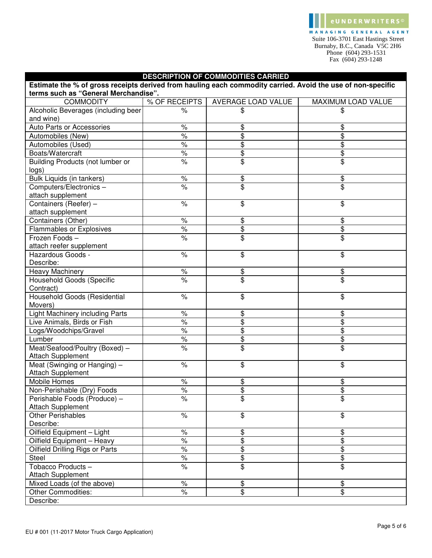MANAGING GENERAL AGENT Suite 106-3701 East Hastings Street Burnaby, B.C., Canada V5C 2H6 Phone (604) 293-1531 Fax (604) 293-1248

e U N D E R W R I T E R S ©

| <b>DESCRIPTION OF COMMODITIES CARRIED</b>                                                                                                           |                      |                           |                           |  |  |
|-----------------------------------------------------------------------------------------------------------------------------------------------------|----------------------|---------------------------|---------------------------|--|--|
| Estimate the % of gross receipts derived from hauling each commodity carried. Avoid the use of non-specific<br>terms such as "General Merchandise". |                      |                           |                           |  |  |
| <b>COMMODITY</b>                                                                                                                                    | % OF RECEIPTS        | <b>AVERAGE LOAD VALUE</b> | <b>MAXIMUM LOAD VALUE</b> |  |  |
| Alcoholic Beverages (including beer<br>and wine)                                                                                                    | $\%$                 | \$                        | \$                        |  |  |
| Auto Parts or Accessories                                                                                                                           | $\%$                 | \$                        | \$                        |  |  |
| Automobiles (New)                                                                                                                                   | $\%$                 | \$                        | \$                        |  |  |
| Automobiles (Used)                                                                                                                                  | $\frac{1}{\sqrt{2}}$ | \$                        | \$                        |  |  |
| Boats/Watercraft                                                                                                                                    | $\frac{1}{\sqrt{2}}$ | \$                        | \$                        |  |  |
| Building Products (not lumber or<br>logs)                                                                                                           | $\%$                 | \$                        | \$                        |  |  |
| Bulk Liquids (in tankers)                                                                                                                           | $\%$                 | \$                        | \$                        |  |  |
| Computers/Electronics-<br>attach supplement                                                                                                         | $\frac{1}{\sqrt{2}}$ | \$                        | \$                        |  |  |
| Containers (Reefer) -<br>attach supplement                                                                                                          | $\frac{1}{6}$        | \$                        | \$                        |  |  |
| Containers (Other)                                                                                                                                  | $\frac{1}{\sqrt{2}}$ | \$                        | \$                        |  |  |
| Flammables or Explosives                                                                                                                            | $\frac{1}{\sqrt{2}}$ | \$                        | \$                        |  |  |
| Frozen Foods-<br>attach reefer supplement                                                                                                           | $\%$                 | \$                        | \$                        |  |  |
| Hazardous Goods -<br>Describe:                                                                                                                      | $\frac{1}{6}$        | \$                        | \$                        |  |  |
| <b>Heavy Machinery</b>                                                                                                                              | $\%$                 | \$                        | \$                        |  |  |
| <b>Household Goods (Specific</b><br>Contract)                                                                                                       | $\frac{1}{\sqrt{2}}$ | \$                        | \$                        |  |  |
| Household Goods (Residential<br>Movers)                                                                                                             | $\%$                 | \$                        | \$                        |  |  |
| Light Machinery including Parts                                                                                                                     | $\%$                 | \$                        | \$                        |  |  |
| Live Animals, Birds or Fish                                                                                                                         | $\frac{1}{\sqrt{2}}$ | \$                        | \$                        |  |  |
| Logs/Woodchips/Gravel                                                                                                                               | $\frac{1}{\sqrt{2}}$ | \$                        | \$                        |  |  |
| Lumber                                                                                                                                              | $\%$                 | \$                        | \$                        |  |  |
| Meat/Seafood/Poultry (Boxed) -<br><b>Attach Supplement</b>                                                                                          | $\frac{1}{\sqrt{2}}$ | \$                        | \$                        |  |  |
| Meat (Swinging or Hanging) -<br><b>Attach Supplement</b>                                                                                            | $\frac{1}{6}$        | \$                        | \$                        |  |  |
| Mobile Homes                                                                                                                                        | $\%$                 | \$                        | \$                        |  |  |
| Non-Perishable (Dry) Foods                                                                                                                          | $\frac{1}{2}$        | $\overline{\$}$           | \$                        |  |  |
| Perishable Foods (Produce) -<br><b>Attach Supplement</b>                                                                                            | $\frac{1}{\sqrt{2}}$ | \$                        | $\overline{\$}$           |  |  |
| <b>Other Perishables</b><br>Describe:                                                                                                               | $\%$                 | \$                        | \$                        |  |  |
| Oilfield Equipment - Light                                                                                                                          | $\%$                 | \$                        | \$                        |  |  |
| Oilfield Equipment - Heavy                                                                                                                          | $\frac{1}{\sqrt{2}}$ | \$                        | \$                        |  |  |
| <b>Oilfield Drilling Rigs or Parts</b>                                                                                                              | $\frac{1}{2}$        | \$                        | \$                        |  |  |
| Steel                                                                                                                                               | $\%$                 | \$                        | \$                        |  |  |
| Tobacco Products-                                                                                                                                   | $\%$                 | \$                        | \$                        |  |  |
| <b>Attach Supplement</b>                                                                                                                            |                      |                           |                           |  |  |
| Mixed Loads (of the above)                                                                                                                          | $\%$                 | \$                        | \$                        |  |  |
| <b>Other Commodities:</b>                                                                                                                           | $\%$                 | \$                        | \$                        |  |  |
| Describe:                                                                                                                                           |                      |                           |                           |  |  |